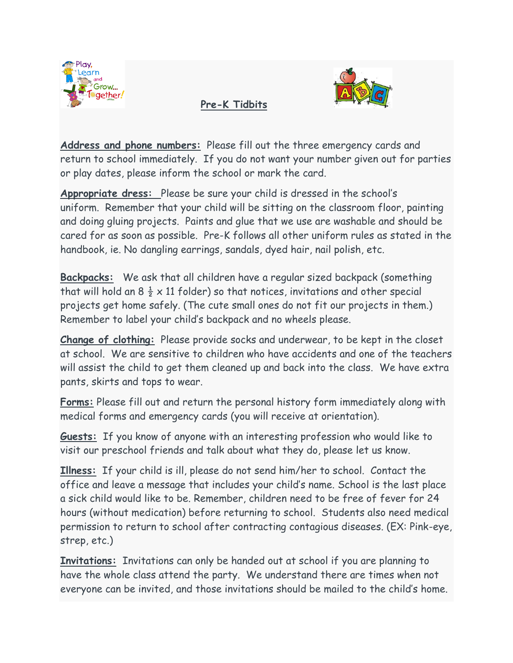

**Pre-K Tidbits**



**Address and phone numbers:** Please fill out the three emergency cards and return to school immediately. If you do not want your number given out for parties or play dates, please inform the school or mark the card.

**Appropriate dress:** Please be sure your child is dressed in the school's uniform. Remember that your child will be sitting on the classroom floor, painting and doing gluing projects. Paints and glue that we use are washable and should be cared for as soon as possible. Pre-K follows all other uniform rules as stated in the handbook, ie. No dangling earrings, sandals, dyed hair, nail polish, etc.

**Backpacks:** We ask that all children have a regular sized backpack (something that will hold an  $8\frac{1}{2} \times 11$  folder) so that notices, invitations and other special projects get home safely. (The cute small ones do not fit our projects in them.) Remember to label your child's backpack and no wheels please.

**Change of clothing:** Please provide socks and underwear, to be kept in the closet at school. We are sensitive to children who have accidents and one of the teachers will assist the child to get them cleaned up and back into the class. We have extra pants, skirts and tops to wear.

**Forms:** Please fill out and return the personal history form immediately along with medical forms and emergency cards (you will receive at orientation).

**Guests:** If you know of anyone with an interesting profession who would like to visit our preschool friends and talk about what they do, please let us know.

**Illness:** If your child is ill, please do not send him/her to school. Contact the office and leave a message that includes your child's name. School is the last place a sick child would like to be. Remember, children need to be free of fever for 24 hours (without medication) before returning to school. Students also need medical permission to return to school after contracting contagious diseases. (EX: Pink-eye, strep, etc.)

**Invitations:** Invitations can only be handed out at school if you are planning to have the whole class attend the party. We understand there are times when not everyone can be invited, and those invitations should be mailed to the child's home.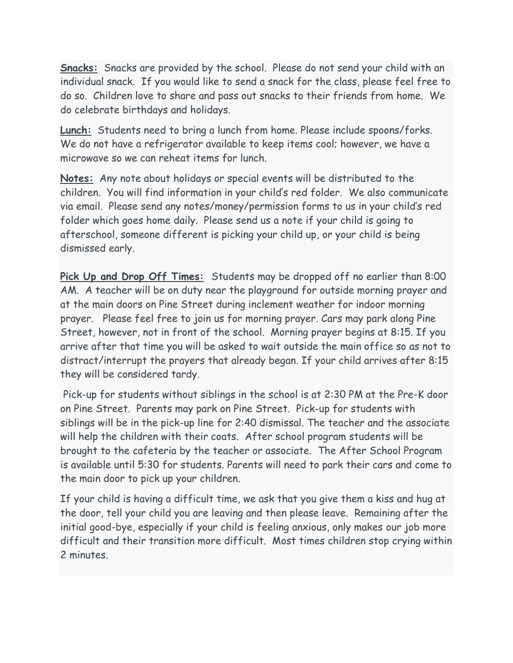**Snacks:** Snacks are provided by the school. Please do not send your child with an individual snack. If you would like to send a snack for the class, please feel free to do so. Children love to share and pass out snacks to their friends from home. We do celebrate birthdays and holidays.

**Lunch:** Students need to bring a lunch from home. Please include spoons/forks. We do not have a refrigerator available to keep items cool; however, we have a microwave so we can reheat items for lunch.

**Notes:** Any note about holidays or special events will be distributed to the children. You will find information in your child's red folder. We also communicate via email. Please send any notes/money/permission forms to us in your child's red folder which goes home daily. Please send us a note if your child is going to afterschool, someone different is picking your child up, or your child is being dismissed early.

**Pick Up and Drop Off Times:** Students may be dropped off no earlier than 8:00 AM. A teacher will be on duty near the playground for outside morning prayer and at the main doors on Pine Street during inclement weather for indoor morning prayer. Please feel free to join us for morning prayer. Cars may park along Pine Street, however, not in front of the school. Morning prayer begins at 8:15. If you arrive after that time you will be asked to wait outside the main office so as not to distract/interrupt the prayers that already began. If your child arrives after 8:15 they will be considered tardy.

Pick-up for students without siblings in the school is at 2:30 PM at the Pre-K door on Pine Street. Parents may park on Pine Street. Pick-up for students with siblings will be in the pick-up line for 2:40 dismissal. The teacher and the associate will help the children with their coats. After school program students will be brought to the cafeteria by the teacher or associate. The After School Program is available until 5:30 for students. Parents will need to park their cars and come to the main door to pick up your children.

If your child is having a difficult time, we ask that you give them a kiss and hug at the door, tell your child you are leaving and then please leave. Remaining after the initial good-bye, especially if your child is feeling anxious, only makes our job more difficult and their transition more difficult. Most times children stop crying within 2 minutes.